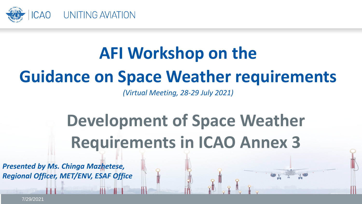

# **AFI Workshop on the**

# **Guidance on Space Weather requirements**

*(Virtual Meeting, 28-29 July 2021)*

# **Development of Space Weather Requirements in ICAO Annex 3**

*Presented by Ms. Chinga Mazhetese, Regional Officer, MET/ENV, ESAF Office*

7/29/2021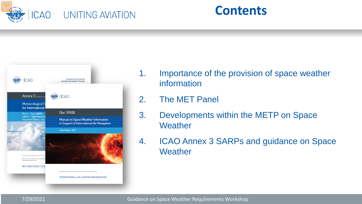





- 1. Importance of the provision of space weather information
- 2. The MET Panel
- 3. Developments within the METP on Space **Weather**
- 4. ICAO Annex 3 SARPs and guidance on Space **Weather**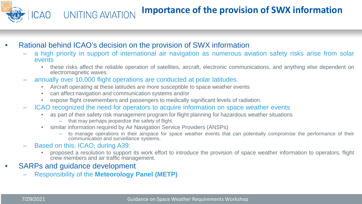#### **Importance of the provision of SWX information ICAO** UNITING AVIATION

- Rational behind ICAO's decision on the provision of SWX information
	- a high priority in support of international air navigation as numerous aviation safety risks arise from solar events
		- these risks affect the reliable operation of satellites, aircraft, electronic communications, and anything else dependent on electromagnetic waves.
	- annually over 10,000 flight operations are conducted at polar latitudes.
		- Aircraft operating at these latitudes are more susceptible to space weather events
		- can affect navigation and communication systems and/or
		- expose flight crewmembers and passengers to medically significant levels of radiation.
	- ICAO recognized the need for operators to acquire information on space weather events
		- as part of their safety risk management program for flight planning for hazardous weather situations
			- that may perhaps jeopardize the safety of flight.
		- similar information required by Air Navigation Service Providers (ANSPs)
			- to manage operations in their airspace for space weather events that can potentially compromise the performance of their communication and surveillance systems.
	- Based on this, ICAO, during A39:
		- proposed a resolution to support its work effort to introduce the provision of space weather information to operators, flight crew members and air traffic management.
- SARPs and quidance development
	- Responsibility of the **Meteorology Panel (METP)**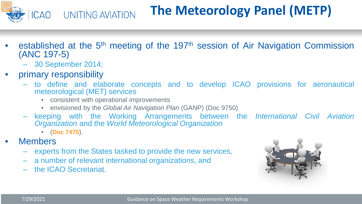

- established at the 5<sup>th</sup> meeting of the 197<sup>th</sup> session of Air Navigation Commission (ANC 197-5)
	- 30 September 2014;
- primary responsibility
	- to define and elaborate concepts and to develop ICAO provisions for aeronautical meteorological (MET) services
		- consistent with operational improvements
		- envisioned by the *Global Air Navigation Plan* (GANP) (Doc 9750)
	- keeping with the Working Arrangements between the *International Civil Aviation Organization* and the *World Meteorological Organization*
		- (**Doc 7475**).
- **Members** 
	- experts from the States tasked to provide the new services,
	- a number of relevant international organizations, and
	- the ICAO Secretariat.

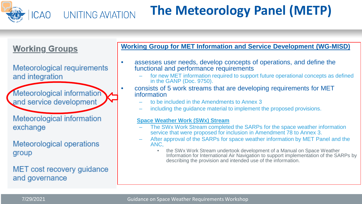

#### **The Meteorology Panel (METP)** UNITING AVIATION

#### **Working Groups**

Meteorological requirements and integration

**Meteorological information** and service development

Meteorological information exchange

Meteorological operations group

MET cost recovery guidance and governance

#### **Working Group for MET Information and Service Development (WG-MISD)**

- assesses user needs, develop concepts of operations, and define the functional and performance requirements
	- for new MET information required to support future operational concepts as defined in the GANP (Doc. 9750).
- consists of 5 work streams that are developing requirements for MET information
	- to be included in the Amendments to Annex 3
	- including the guidance material to implement the proposed provisions.

#### **Space Weather Work (SWx) Stream**

- The SWx Work Stream completed the SARPs for the space weather information service that were proposed for inclusion in Amendment 78 to Annex 3.
- After approval of the SARPs for space weather information by MET Panel and the ANC,
	- the SWx Work Stream undertook development of a Manual on Space Weather Information for International Air Navigation to support implementation of the SARPs by describing the provision and intended use of the information.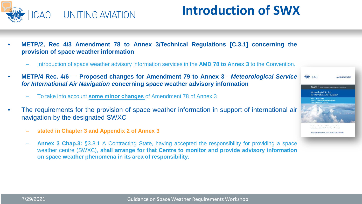

### **Introduction of SWX**

- **METP/2, Rec 4/3 Amendment 78 to Annex 3/Technical Regulations [C.3.1] concerning the provision of space weather information**
	- Introduction of space weather advisory information services in the **AMD 78 to Annex 3** to the Convention.
- **METP/4 Rec. 4/6 — Proposed changes for Amendment 79 to Annex 3 -** *Meteorological Service for International Air Navigation* **concerning space weather advisory information**
	- To take into account **some minor changes** of Amendment 78 of Annex 3
- The requirements for the provision of space weather information in support of international air navigation by the designated SWXC
	- **stated in Chapter 3 and Appendix 2 of Annex 3**
	- **Annex 3 Chap.3:** §3.8.1 A Contracting State, having accepted the responsibility for providing a space weather centre (SWXC), **shall arrange for that Centre to monitor and provide advisory information on space weather phenomena in its area of responsibility**.

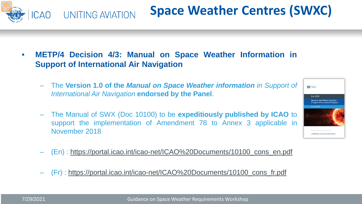• **METP/4 Decision 4/3: Manual on Space Weather Information in Support of International Air Navigation**

- The **Version 1.0 of the** *Manual on Space Weather information in Support of International Air Navigation* **endorsed by the Panel**.
- The Manual of SWX (Doc 10100) to be **expeditiously published by ICAO** to support the implementation of Amendment 78 to Annex 3 applicable in November 2018
- (En) : [https://portal.icao.int/icao-net/ICAO%20Documents/10100\\_cons\\_en.pdf](https://portal.icao.int/icao-net/ICAO%20Documents/10100_cons_en.pdf)
- (Fr) : [https://portal.icao.int/icao-net/ICAO%20Documents/10100\\_cons\\_fr.pdf](https://portal.icao.int/icao-net/ICAO%20Documents/10100_cons_fr.pdf)





## **Space Weather Centres (SWXC)**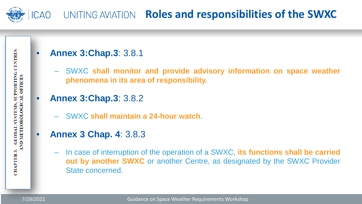

### ICAO UNITING AVIATION **Roles and responsibilities of the SWXC**

#### • **Annex 3:Chap.3**: 3.8.1

- SWXC **shall monitor and provide advisory information on space weather phenomena in its area of responsibility.**
- **Annex 3:Chap.3**: 3.8.2
	- SWXC **shall maintain a 24-hour watch**.
- **Annex 3 Chap. 4**: 3.8.3
	- In case of interruption of the operation of a SWXC, **its functions shall be carried out by another SWXC** or another Centre, as designated by the SWXC Provider State concerned.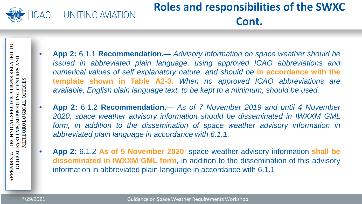

### **Roles and responsibilities of the SWXC Cont.**

SPECIFICATIONS RELATED TO **SUPPORTING CENTRES AND OFFICES OGICAL TECHNICAL METEOROL** SYSTEMS, **GLOBAL APPENDIX 2.** 

- **App 2:** 6.1.1 **Recommendation.** *Advisory information on space weather should be issued in abbreviated plain language, using approved ICAO abbreviations and numerical values of self explanatory nature, and should be* **in accordance with the template shown in Table A2-3.** *When no approved ICAO abbreviations are available, English plain language text, to be kept to a minimum, should be used.*
- **App 2:** 6.1.2 **Recommendation.** *As of 7 November 2019 and until 4 November 2020, space weather advisory information should be disseminated in IWXXM GML form, in addition to the dissemination of space weather advisory information in abbreviated plain language in accordance with 6.1.1.*
- **App 2:** 6.1.2 **As of 5 November 2020**, space weather advisory information **shall be disseminated in IWXXM GML form**, in addition to the dissemination of this advisory information in abbreviated plain language in accordance with 6.1.1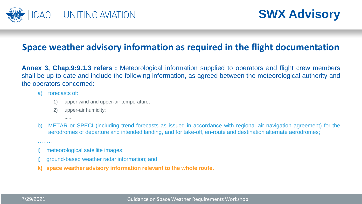

**SWX Advisory**

#### **Space weather advisory information as required in the flight documentation**

**Annex 3, Chap.9:9.1.3 refers :** Meteorological information supplied to operators and flight crew members shall be up to date and include the following information, as agreed between the meteorological authority and the operators concerned:

- a) forecasts of:
	- 1) upper wind and upper-air temperature;
	- 2) upper-air humidity;

…..

- b) METAR or SPECI (including trend forecasts as issued in accordance with regional air navigation agreement) for the aerodromes of departure and intended landing, and for take-off, en-route and destination alternate aerodromes;
- meteorological satellite images;
- ground-based weather radar information; and
- **k) space weather advisory information relevant to the whole route.**

………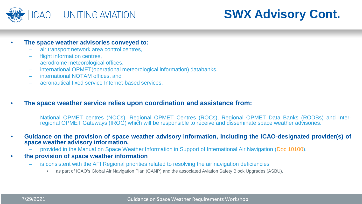

### **SWX Advisory Cont.**

- **The space weather advisories conveyed to:**
	- air transport network area control centres,
	- flight information centres,
	- aerodrome meteorological offices,
	- international OPMET(operational meteorological information) databanks,
	- international NOTAM offices, and
	- aeronautical fixed service Internet-based services.
- **The space weather service relies upon coordination and assistance from:**
	- National OPMET centres (NOCs), Regional OPMET Centres (ROCs), Regional OPMET Data Banks (RODBs) and Inter- regional OPMET Gateways (IROG) which will be responsible to receive and disseminate space weather advisories.
- **Guidance on the provision of space weather advisory information, including the ICAO-designated provider(s) of space weather advisory information,**
	- provided in the Manual on Space Weather Information in Support of International Air Navigation (Doc 10100).
- **the provision of space weather information**
	- is consistent with the AFI Regional priorities related to resolving the air navigation deficiencies
		- as part of ICAO's Global Air Navigation Plan (GANP) and the associated Aviation Safety Block Upgrades (ASBU).